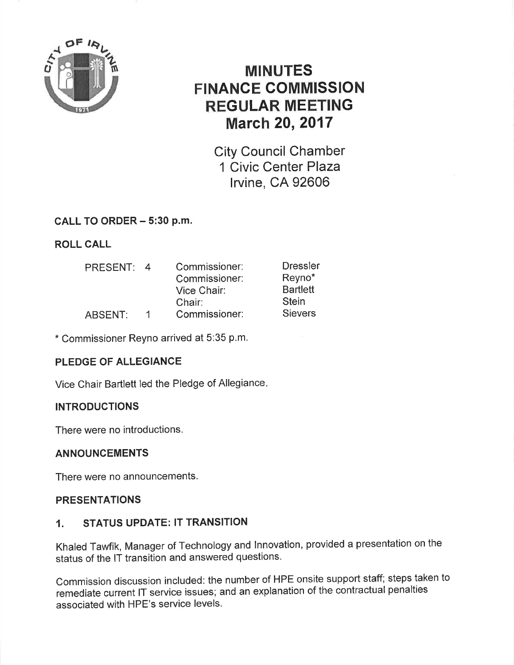

# MINUTES FINANCE COMMISSION REGULAR MEETING March 20,2017

City Council Chamber 1 Civic Center Plaza lrvine, CA 92606

# CALL TO ORDER - 5:30 P.m.

# ROLL CALL

| PRESENT: | 4 | Commissioner: | <b>Dressler</b> |
|----------|---|---------------|-----------------|
|          |   | Commissioner: | Reyno*          |
|          |   | Vice Chair:   | <b>Bartlett</b> |
|          |   | Chair:        | <b>Stein</b>    |
| ABSENT:  |   | Commissioner: | <b>Sievers</b>  |

\* Commissioner Reyno arrived at 5:35 p.m.

# PLEDGE OF ALLEGIANCE

Vice Chair Bartlett led the Pledge of Allegiance

## INTRODUCTIONS

There were no introductions.

## ANNOUNCEMENTS

There were no announcements.

## PRESENTATIONS

## 1. STATUS UPDATE: lT TRANSITION

Khaled Tawfik, Manager of Technology and lnnovation, provided a presentation on the status of the lT transition and answered questions.

Commission discussion included: the number of HPE onsite support staff; steps taken to remediate current lT service issues; and an explanation of the contractual penalties associated with HPE's service levels.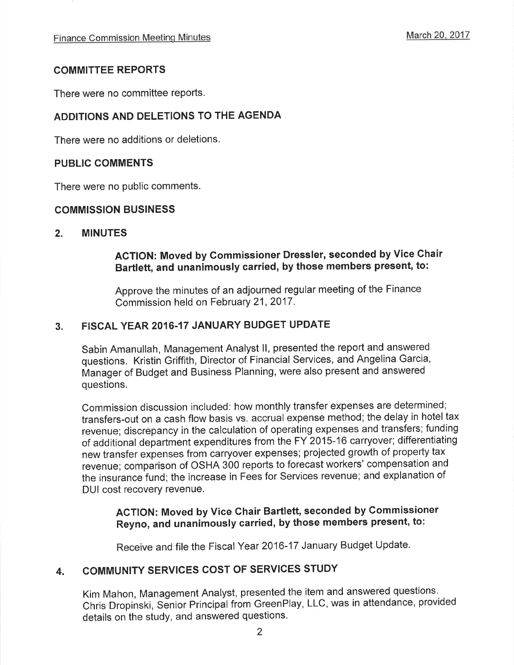### COMMITTEE REPORTS

There were no committee reports.

## ADDITIONS AND DELETIONS TO THE AGENDA

There were no additions or deletions.

#### PUBLIC COMMENTS

There were no public comments.

#### COMMISSION BUSINESS

#### 2. MINUTES

# ACTION: Moved by Commissioner Dressler, seconded by Vice Chair Bartlett, and unanimously carried, by those members present, to:

Approve the minutes of an adjourned regular meeting of the Finance Commission held on February 21, 2017.

### 3. FISCAL YEAR 2016.17 JANUARY BUDGET UPDATE

Sabin Amanullah, Management Analyst ll, presented the report and answered questions. Kristin Griffith, Director of Financial Services, and Angelina Garcia, Manager of Budget and Business Planning, were also present and answered questions.

Commission discussion included: how monthly transfer expenses are determined; transfers-out on a cash flow basis vs. accrual expense method; the delay in hotel tax revenue; discrepancy in the calculation of operating expenses and transfers; funding of additional department expenditures from the FY 2015-16 carryover; differentiating new transfer expenses from carryover expenses; projected growth of property tax revenue; comparison of OSHA 300 reports to forecast workers' compensation and the insurance fund; the increase in Fees for Services revenue; and explanation of DUI cost recovery revenue.

# ACTION: Moved by Vice Chair Bartlett, seconded by Commissioner Reyno, and unanimously carried, by those members present, to:

Receive and file the Fiscal Year 2016-17 January Budget Update.

# 4. COMMUNITY SERVICES COST OF SERVICES STUDY

Kim Mahon, Management Analyst, presented the item and answered questions. Chris Dropinski, Senior Principal from GreenPlay, LLC, was in attendance, provided details on the study, and answered questions.